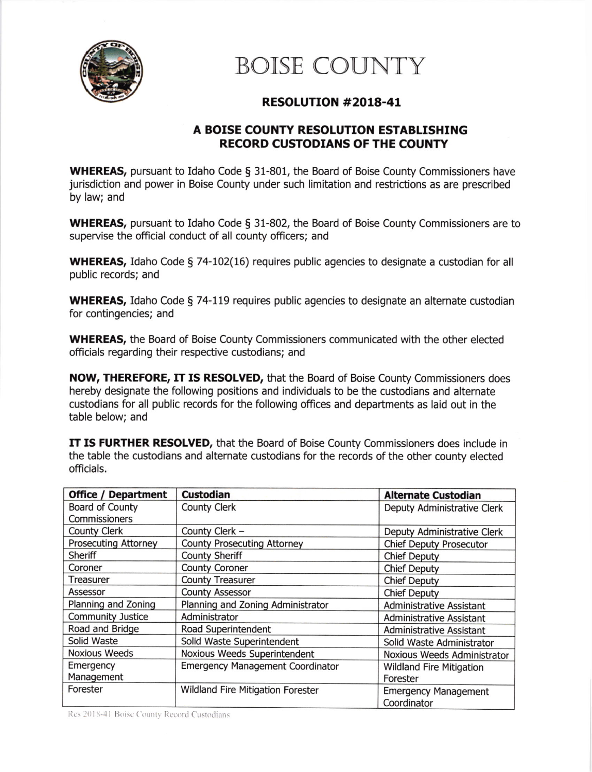

## BOISE COUNTY

## RESOLUTTON #2018-41

## A BOISE COUNTY RESOLUTION ESTABLISHTNG RECORD CUSTODIANS OF THE COUNTY

**WHEREAS,** pursuant to Idaho Code  $\S$  31-801, the Board of Boise County Commissioners have jurisdiction and power in Boise County under such limitation and restrictions as are prescribed by law; and

WHEREAS, pursuant to Idaho Code § 31-802, the Board of Boise County Commissioners are to supervise the official conduct of all county officers; and

WHEREAS, Idaho Code § 74-102(16) requires public agencies to designate a custodian for all public records; and

WHEREAS, Idaho Code § 74-119 requires public agencies to designate an alternate custodian for contingencies; and

WHEREAS, the Board of Boise County Commissioners communicated with the other elected officials regarding their respective custodians; and

NOW, THEREFORE, IT IS RESOLVED, that the Board of Boise County Commissioners does hereby designate the following positions and individuals to be the custodians and alternate custodians for all public records for the following offices and departments as laid out in the table below; and

**IT IS FURTHER RESOLVED,** that the Board of Boise County Commissioners does include in the table the custodians and alternate custodians for the records of the other county elected officials.

| <b>Office / Department</b>  | <b>Custodian</b>                        | <b>Alternate Custodian</b>      |
|-----------------------------|-----------------------------------------|---------------------------------|
| Board of County             | <b>County Clerk</b>                     | Deputy Administrative Clerk     |
| Commissioners               |                                         |                                 |
| <b>County Clerk</b>         | County Clerk -                          | Deputy Administrative Clerk     |
| <b>Prosecuting Attorney</b> | <b>County Prosecuting Attorney</b>      | <b>Chief Deputy Prosecutor</b>  |
| Sheriff                     | <b>County Sheriff</b>                   | <b>Chief Deputy</b>             |
| Coroner                     | <b>County Coroner</b>                   | <b>Chief Deputy</b>             |
| Treasurer                   | <b>County Treasurer</b>                 | <b>Chief Deputy</b>             |
| Assessor                    | <b>County Assessor</b>                  | <b>Chief Deputy</b>             |
| Planning and Zoning         | Planning and Zoning Administrator       | <b>Administrative Assistant</b> |
| <b>Community Justice</b>    | Administrator                           | <b>Administrative Assistant</b> |
| Road and Bridge             | Road Superintendent                     | <b>Administrative Assistant</b> |
| Solid Waste                 | Solid Waste Superintendent              | Solid Waste Administrator       |
| <b>Noxious Weeds</b>        | Noxious Weeds Superintendent            | Noxious Weeds Administrator     |
| Emergency                   | <b>Emergency Management Coordinator</b> | <b>Wildland Fire Mitigation</b> |
| Management                  |                                         | Forester                        |
| Forester                    | Wildland Fire Mitigation Forester       | <b>Emergency Management</b>     |
|                             |                                         | Coordinator                     |

Res 2018-41 Boise County Record Custodians